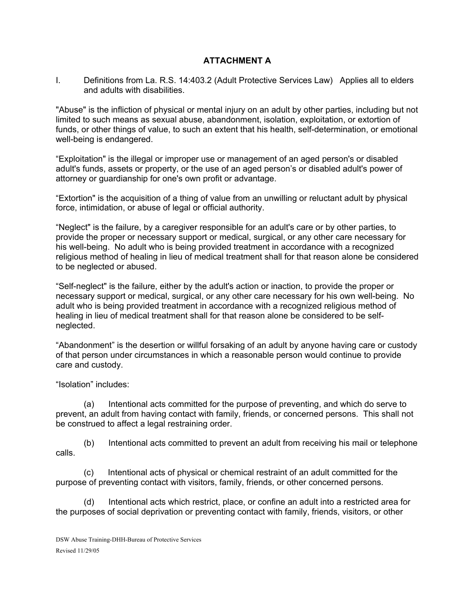## **ATTACHMENT A**

I. Definitions from La. R.S. 14:403.2 (Adult Protective Services Law) Applies all to elders and adults with disabilities.

"Abuse" is the infliction of physical or mental injury on an adult by other parties, including but not limited to such means as sexual abuse, abandonment, isolation, exploitation, or extortion of funds, or other things of value, to such an extent that his health, self-determination, or emotional well-being is endangered.

"Exploitation" is the illegal or improper use or management of an aged person's or disabled adult's funds, assets or property, or the use of an aged person's or disabled adult's power of attorney or guardianship for one's own profit or advantage.

"Extortion" is the acquisition of a thing of value from an unwilling or reluctant adult by physical force, intimidation, or abuse of legal or official authority.

"Neglect" is the failure, by a caregiver responsible for an adult's care or by other parties, to provide the proper or necessary support or medical, surgical, or any other care necessary for his well-being. No adult who is being provided treatment in accordance with a recognized religious method of healing in lieu of medical treatment shall for that reason alone be considered to be neglected or abused.

"Self-neglect" is the failure, either by the adult's action or inaction, to provide the proper or necessary support or medical, surgical, or any other care necessary for his own well-being. No adult who is being provided treatment in accordance with a recognized religious method of healing in lieu of medical treatment shall for that reason alone be considered to be selfneglected.

"Abandonment" is the desertion or willful forsaking of an adult by anyone having care or custody of that person under circumstances in which a reasonable person would continue to provide care and custody.

"Isolation" includes:

(a) Intentional acts committed for the purpose of preventing, and which do serve to prevent, an adult from having contact with family, friends, or concerned persons. This shall not be construed to affect a legal restraining order.

(b) Intentional acts committed to prevent an adult from receiving his mail or telephone calls.

(c) Intentional acts of physical or chemical restraint of an adult committed for the purpose of preventing contact with visitors, family, friends, or other concerned persons.

(d) Intentional acts which restrict, place, or confine an adult into a restricted area for the purposes of social deprivation or preventing contact with family, friends, visitors, or other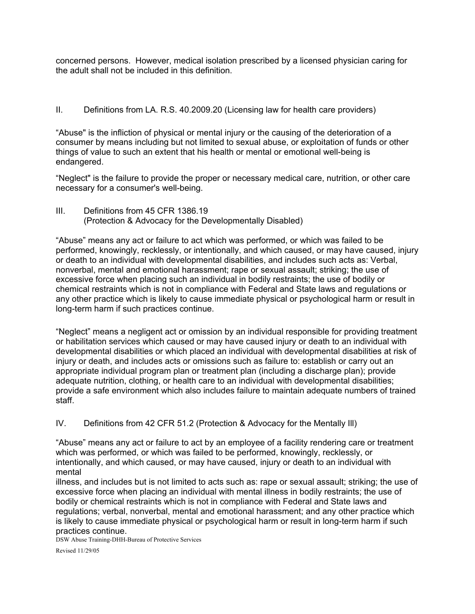concerned persons. However, medical isolation prescribed by a licensed physician caring for the adult shall not be included in this definition.

## II. Definitions from LA. R.S. 40.2009.20 (Licensing law for health care providers)

"Abuse" is the infliction of physical or mental injury or the causing of the deterioration of a consumer by means including but not limited to sexual abuse, or exploitation of funds or other things of value to such an extent that his health or mental or emotional well-being is endangered.

"Neglect" is the failure to provide the proper or necessary medical care, nutrition, or other care necessary for a consumer's well-being.

III. Definitions from 45 CFR 1386.19 (Protection & Advocacy for the Developmentally Disabled)

"Abuse" means any act or failure to act which was performed, or which was failed to be performed, knowingly, recklessly, or intentionally, and which caused, or may have caused, injury or death to an individual with developmental disabilities, and includes such acts as: Verbal, nonverbal, mental and emotional harassment; rape or sexual assault; striking; the use of excessive force when placing such an individual in bodily restraints; the use of bodily or chemical restraints which is not in compliance with Federal and State laws and regulations or any other practice which is likely to cause immediate physical or psychological harm or result in long-term harm if such practices continue.

"Neglect" means a negligent act or omission by an individual responsible for providing treatment or habilitation services which caused or may have caused injury or death to an individual with developmental disabilities or which placed an individual with developmental disabilities at risk of injury or death, and includes acts or omissions such as failure to: establish or carry out an appropriate individual program plan or treatment plan (including a discharge plan); provide adequate nutrition, clothing, or health care to an individual with developmental disabilities; provide a safe environment which also includes failure to maintain adequate numbers of trained staff.

IV. Definitions from 42 CFR 51.2 (Protection & Advocacy for the Mentally Ill)

"Abuse" means any act or failure to act by an employee of a facility rendering care or treatment which was performed, or which was failed to be performed, knowingly, recklessly, or intentionally, and which caused, or may have caused, injury or death to an individual with mental

illness, and includes but is not limited to acts such as: rape or sexual assault; striking; the use of excessive force when placing an individual with mental illness in bodily restraints; the use of bodily or chemical restraints which is not in compliance with Federal and State laws and regulations; verbal, nonverbal, mental and emotional harassment; and any other practice which is likely to cause immediate physical or psychological harm or result in long-term harm if such practices continue.

DSW Abuse Training-DHH-Bureau of Protective Services

Revised 11/29/05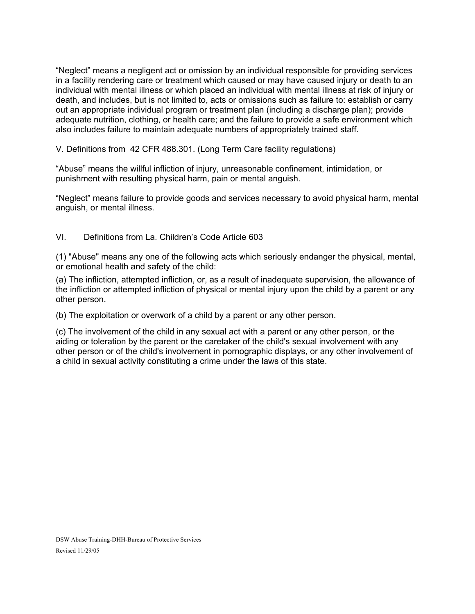"Neglect" means a negligent act or omission by an individual responsible for providing services in a facility rendering care or treatment which caused or may have caused injury or death to an individual with mental illness or which placed an individual with mental illness at risk of injury or death, and includes, but is not limited to, acts or omissions such as failure to: establish or carry out an appropriate individual program or treatment plan (including a discharge plan); provide adequate nutrition, clothing, or health care; and the failure to provide a safe environment which also includes failure to maintain adequate numbers of appropriately trained staff.

V. Definitions from 42 CFR 488.301. (Long Term Care facility regulations)

"Abuse" means the willful infliction of injury, unreasonable confinement, intimidation, or punishment with resulting physical harm, pain or mental anguish.

"Neglect" means failure to provide goods and services necessary to avoid physical harm, mental anguish, or mental illness.

## VI. Definitions from La. Children's Code Article 603

(1) "Abuse" means any one of the following acts which seriously endanger the physical, mental, or emotional health and safety of the child:

(a) The infliction, attempted infliction, or, as a result of inadequate supervision, the allowance of the infliction or attempted infliction of physical or mental injury upon the child by a parent or any other person.

(b) The exploitation or overwork of a child by a parent or any other person.

(c) The involvement of the child in any sexual act with a parent or any other person, or the aiding or toleration by the parent or the caretaker of the child's sexual involvement with any other person or of the child's involvement in pornographic displays, or any other involvement of a child in sexual activity constituting a crime under the laws of this state.